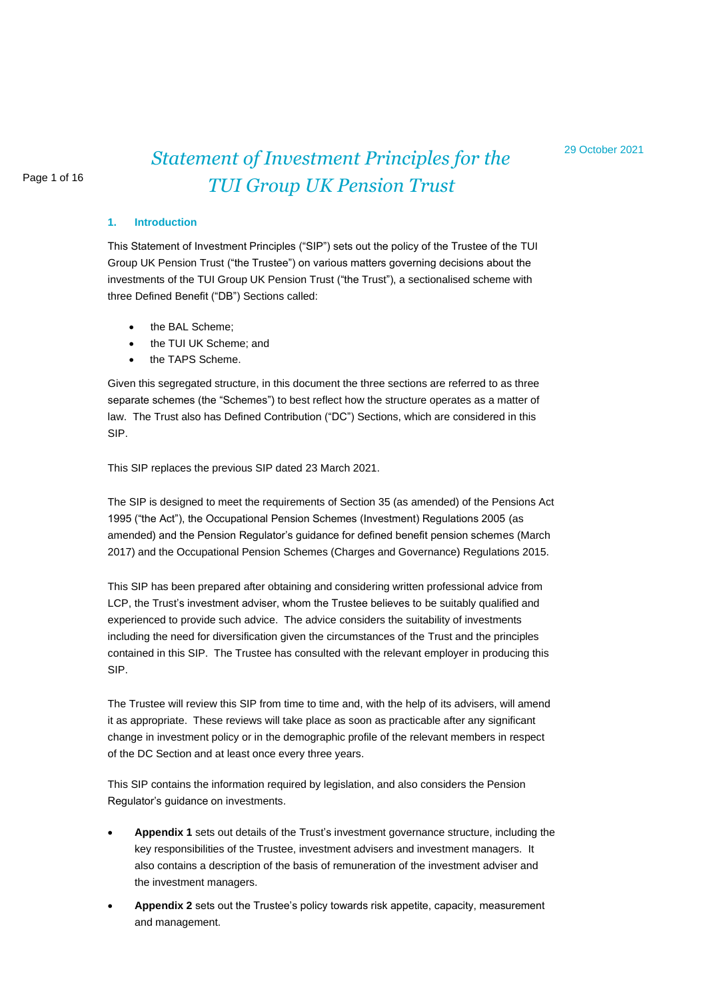## Page 1 of 16

# *Statement of Investment Principles for the TUI Group UK Pension Trust*

#### **1. Introduction**

This Statement of Investment Principles ("SIP") sets out the policy of the Trustee of the TUI Group UK Pension Trust ("the Trustee") on various matters governing decisions about the investments of the TUI Group UK Pension Trust ("the Trust"), a sectionalised scheme with three Defined Benefit ("DB") Sections called:

- the BAL Scheme;
- the TUI UK Scheme; and
- the TAPS Scheme.

Given this segregated structure, in this document the three sections are referred to as three separate schemes (the "Schemes") to best reflect how the structure operates as a matter of law. The Trust also has Defined Contribution ("DC") Sections, which are considered in this SIP.

This SIP replaces the previous SIP dated 23 March 2021.

The SIP is designed to meet the requirements of Section 35 (as amended) of the Pensions Act 1995 ("the Act"), the Occupational Pension Schemes (Investment) Regulations 2005 (as amended) and the Pension Regulator's guidance for defined benefit pension schemes (March 2017) and the Occupational Pension Schemes (Charges and Governance) Regulations 2015.

This SIP has been prepared after obtaining and considering written professional advice from LCP, the Trust's investment adviser, whom the Trustee believes to be suitably qualified and experienced to provide such advice. The advice considers the suitability of investments including the need for diversification given the circumstances of the Trust and the principles contained in this SIP. The Trustee has consulted with the relevant employer in producing this SIP.

The Trustee will review this SIP from time to time and, with the help of its advisers, will amend it as appropriate. These reviews will take place as soon as practicable after any significant change in investment policy or in the demographic profile of the relevant members in respect of the DC Section and at least once every three years.

This SIP contains the information required by legislation, and also considers the Pension Regulator's guidance on investments.

- **Appendix 1** sets out details of the Trust's investment governance structure, including the key responsibilities of the Trustee, investment advisers and investment managers. It also contains a description of the basis of remuneration of the investment adviser and the investment managers.
- **Appendix 2** sets out the Trustee's policy towards risk appetite, capacity, measurement and management.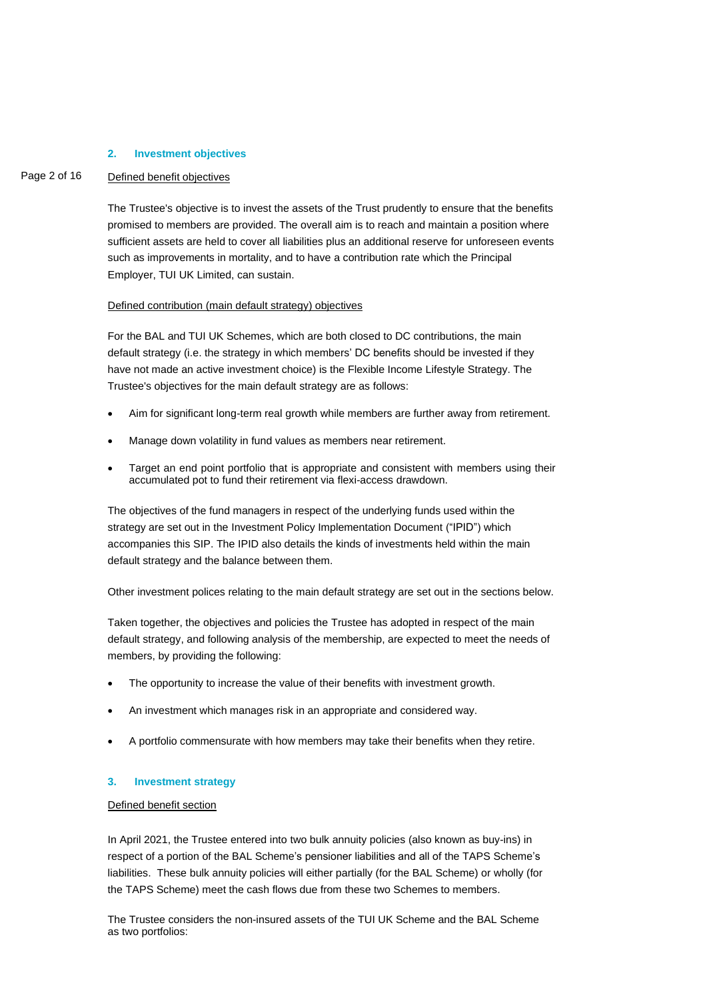#### **2. Investment objectives**

#### Page 2 of 16 Defined benefit objectives

The Trustee's objective is to invest the assets of the Trust prudently to ensure that the benefits promised to members are provided. The overall aim is to reach and maintain a position where sufficient assets are held to cover all liabilities plus an additional reserve for unforeseen events such as improvements in mortality, and to have a contribution rate which the Principal Employer, TUI UK Limited, can sustain.

#### Defined contribution (main default strategy) objectives

For the BAL and TUI UK Schemes, which are both closed to DC contributions, the main default strategy (i.e. the strategy in which members' DC benefits should be invested if they have not made an active investment choice) is the Flexible Income Lifestyle Strategy. The Trustee's objectives for the main default strategy are as follows:

- Aim for significant long-term real growth while members are further away from retirement.
- Manage down volatility in fund values as members near retirement.
- Target an end point portfolio that is appropriate and consistent with members using their accumulated pot to fund their retirement via flexi-access drawdown.

The objectives of the fund managers in respect of the underlying funds used within the strategy are set out in the Investment Policy Implementation Document ("IPID") which accompanies this SIP. The IPID also details the kinds of investments held within the main default strategy and the balance between them.

Other investment polices relating to the main default strategy are set out in the sections below.

Taken together, the objectives and policies the Trustee has adopted in respect of the main default strategy, and following analysis of the membership, are expected to meet the needs of members, by providing the following:

- The opportunity to increase the value of their benefits with investment growth.
- An investment which manages risk in an appropriate and considered way.
- A portfolio commensurate with how members may take their benefits when they retire.

#### **3. Investment strategy**

#### Defined benefit section

In April 2021, the Trustee entered into two bulk annuity policies (also known as buy-ins) in respect of a portion of the BAL Scheme's pensioner liabilities and all of the TAPS Scheme's liabilities. These bulk annuity policies will either partially (for the BAL Scheme) or wholly (for the TAPS Scheme) meet the cash flows due from these two Schemes to members.

The Trustee considers the non-insured assets of the TUI UK Scheme and the BAL Scheme as two portfolios: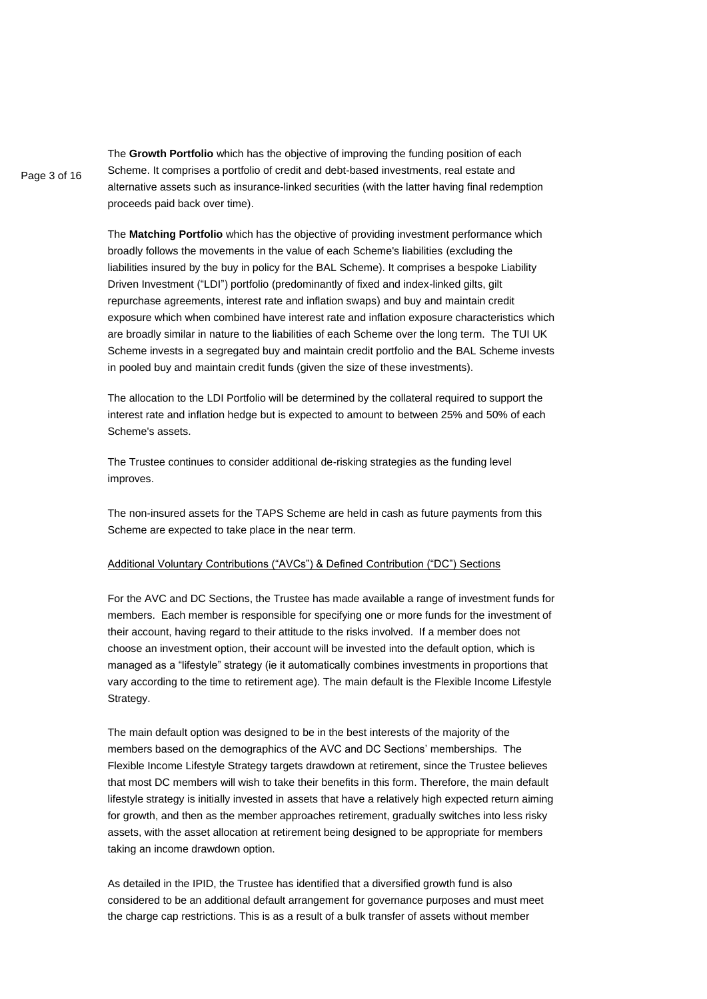Page 3 of 16 The **Growth Portfolio** which has the objective of improving the funding position of each Scheme. It comprises a portfolio of credit and debt-based investments, real estate and alternative assets such as insurance-linked securities (with the latter having final redemption proceeds paid back over time).

> The **Matching Portfolio** which has the objective of providing investment performance which broadly follows the movements in the value of each Scheme's liabilities (excluding the liabilities insured by the buy in policy for the BAL Scheme). It comprises a bespoke Liability Driven Investment ("LDI") portfolio (predominantly of fixed and index-linked gilts, gilt repurchase agreements, interest rate and inflation swaps) and buy and maintain credit exposure which when combined have interest rate and inflation exposure characteristics which are broadly similar in nature to the liabilities of each Scheme over the long term. The TUI UK Scheme invests in a segregated buy and maintain credit portfolio and the BAL Scheme invests in pooled buy and maintain credit funds (given the size of these investments).

The allocation to the LDI Portfolio will be determined by the collateral required to support the interest rate and inflation hedge but is expected to amount to between 25% and 50% of each Scheme's assets.

The Trustee continues to consider additional de-risking strategies as the funding level improves.

The non-insured assets for the TAPS Scheme are held in cash as future payments from this Scheme are expected to take place in the near term.

#### Additional Voluntary Contributions ("AVCs") & Defined Contribution ("DC") Sections

For the AVC and DC Sections, the Trustee has made available a range of investment funds for members. Each member is responsible for specifying one or more funds for the investment of their account, having regard to their attitude to the risks involved. If a member does not choose an investment option, their account will be invested into the default option, which is managed as a "lifestyle" strategy (ie it automatically combines investments in proportions that vary according to the time to retirement age). The main default is the Flexible Income Lifestyle Strategy.

The main default option was designed to be in the best interests of the majority of the members based on the demographics of the AVC and DC Sections' memberships. The Flexible Income Lifestyle Strategy targets drawdown at retirement, since the Trustee believes that most DC members will wish to take their benefits in this form. Therefore, the main default lifestyle strategy is initially invested in assets that have a relatively high expected return aiming for growth, and then as the member approaches retirement, gradually switches into less risky assets, with the asset allocation at retirement being designed to be appropriate for members taking an income drawdown option.

As detailed in the IPID, the Trustee has identified that a diversified growth fund is also considered to be an additional default arrangement for governance purposes and must meet the charge cap restrictions. This is as a result of a bulk transfer of assets without member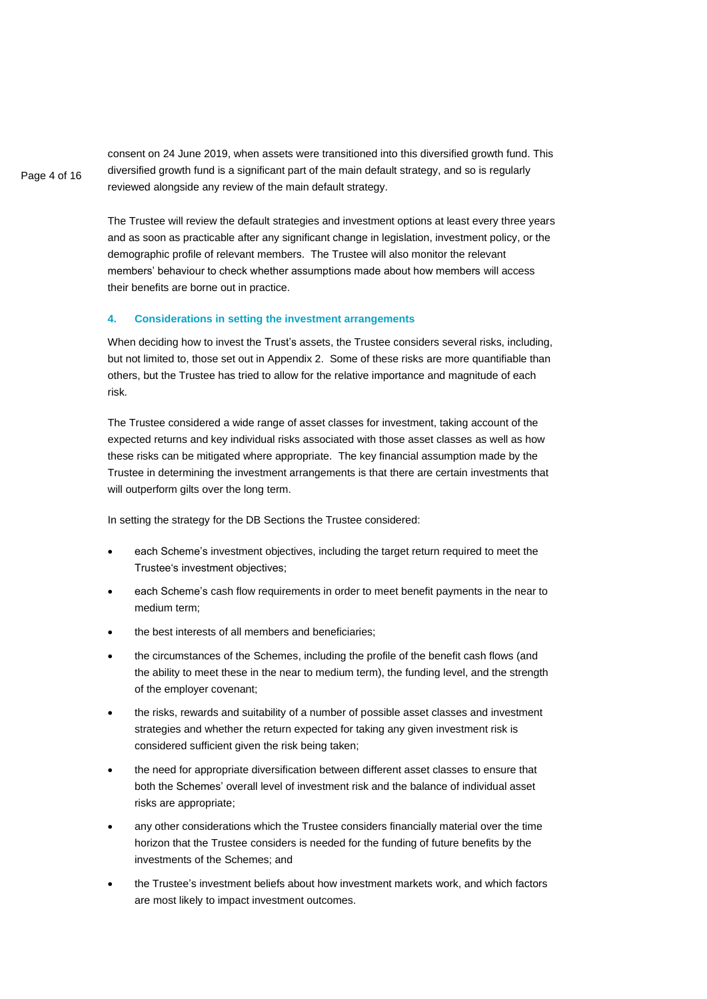consent on 24 June 2019, when assets were transitioned into this diversified growth fund. This diversified growth fund is a significant part of the main default strategy, and so is regularly reviewed alongside any review of the main default strategy.

The Trustee will review the default strategies and investment options at least every three years and as soon as practicable after any significant change in legislation, investment policy, or the demographic profile of relevant members. The Trustee will also monitor the relevant members' behaviour to check whether assumptions made about how members will access their benefits are borne out in practice.

#### **4. Considerations in setting the investment arrangements**

When deciding how to invest the Trust's assets, the Trustee considers several risks, including, but not limited to, those set out in Appendix 2. Some of these risks are more quantifiable than others, but the Trustee has tried to allow for the relative importance and magnitude of each risk.

The Trustee considered a wide range of asset classes for investment, taking account of the expected returns and key individual risks associated with those asset classes as well as how these risks can be mitigated where appropriate. The key financial assumption made by the Trustee in determining the investment arrangements is that there are certain investments that will outperform gilts over the long term.

In setting the strategy for the DB Sections the Trustee considered:

- each Scheme's investment objectives, including the target return required to meet the Trustee's investment objectives;
- each Scheme's cash flow requirements in order to meet benefit payments in the near to medium term;
- the best interests of all members and beneficiaries;
- the circumstances of the Schemes, including the profile of the benefit cash flows (and the ability to meet these in the near to medium term), the funding level, and the strength of the employer covenant;
- the risks, rewards and suitability of a number of possible asset classes and investment strategies and whether the return expected for taking any given investment risk is considered sufficient given the risk being taken;
- the need for appropriate diversification between different asset classes to ensure that both the Schemes' overall level of investment risk and the balance of individual asset risks are appropriate;
- any other considerations which the Trustee considers financially material over the time horizon that the Trustee considers is needed for the funding of future benefits by the investments of the Schemes; and
- the Trustee's investment beliefs about how investment markets work, and which factors are most likely to impact investment outcomes.

Page 4 of 16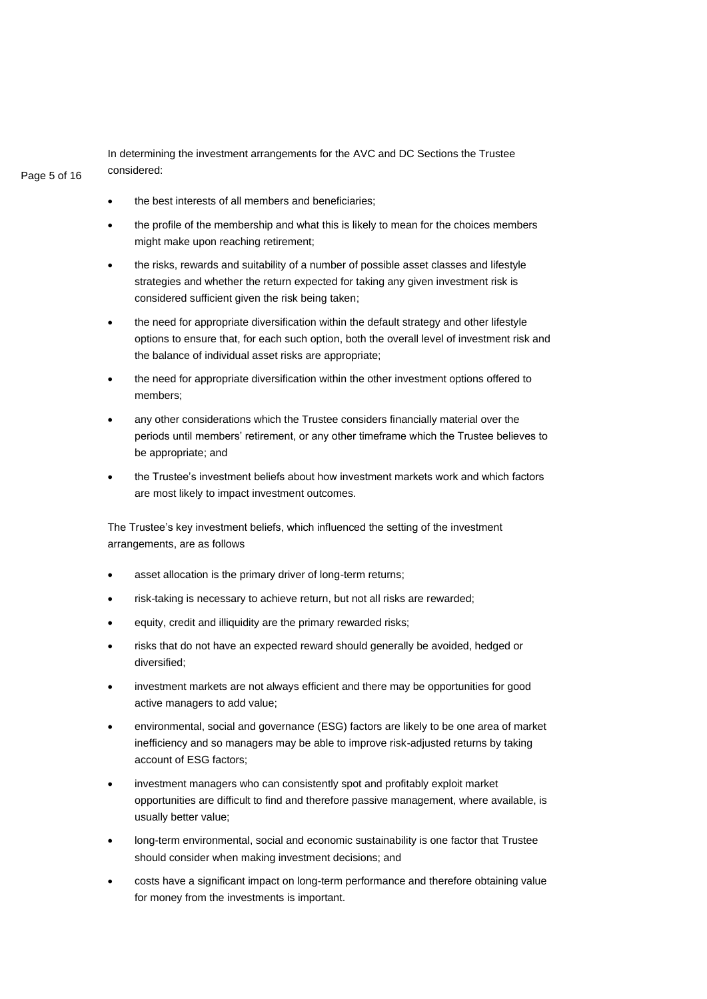In determining the investment arrangements for the AVC and DC Sections the Trustee considered:

# Page 5 of 16

- the best interests of all members and beneficiaries:
- the profile of the membership and what this is likely to mean for the choices members might make upon reaching retirement;
- the risks, rewards and suitability of a number of possible asset classes and lifestyle strategies and whether the return expected for taking any given investment risk is considered sufficient given the risk being taken;
- the need for appropriate diversification within the default strategy and other lifestyle options to ensure that, for each such option, both the overall level of investment risk and the balance of individual asset risks are appropriate;
- the need for appropriate diversification within the other investment options offered to members;
- any other considerations which the Trustee considers financially material over the periods until members' retirement, or any other timeframe which the Trustee believes to be appropriate; and
- the Trustee's investment beliefs about how investment markets work and which factors are most likely to impact investment outcomes.

The Trustee's key investment beliefs, which influenced the setting of the investment arrangements, are as follows

- asset allocation is the primary driver of long-term returns;
- risk-taking is necessary to achieve return, but not all risks are rewarded;
- equity, credit and illiquidity are the primary rewarded risks;
- risks that do not have an expected reward should generally be avoided, hedged or diversified;
- investment markets are not always efficient and there may be opportunities for good active managers to add value;
- environmental, social and governance (ESG) factors are likely to be one area of market inefficiency and so managers may be able to improve risk-adjusted returns by taking account of ESG factors;
- investment managers who can consistently spot and profitably exploit market opportunities are difficult to find and therefore passive management, where available, is usually better value;
- long-term environmental, social and economic sustainability is one factor that Trustee should consider when making investment decisions; and
- costs have a significant impact on long-term performance and therefore obtaining value for money from the investments is important.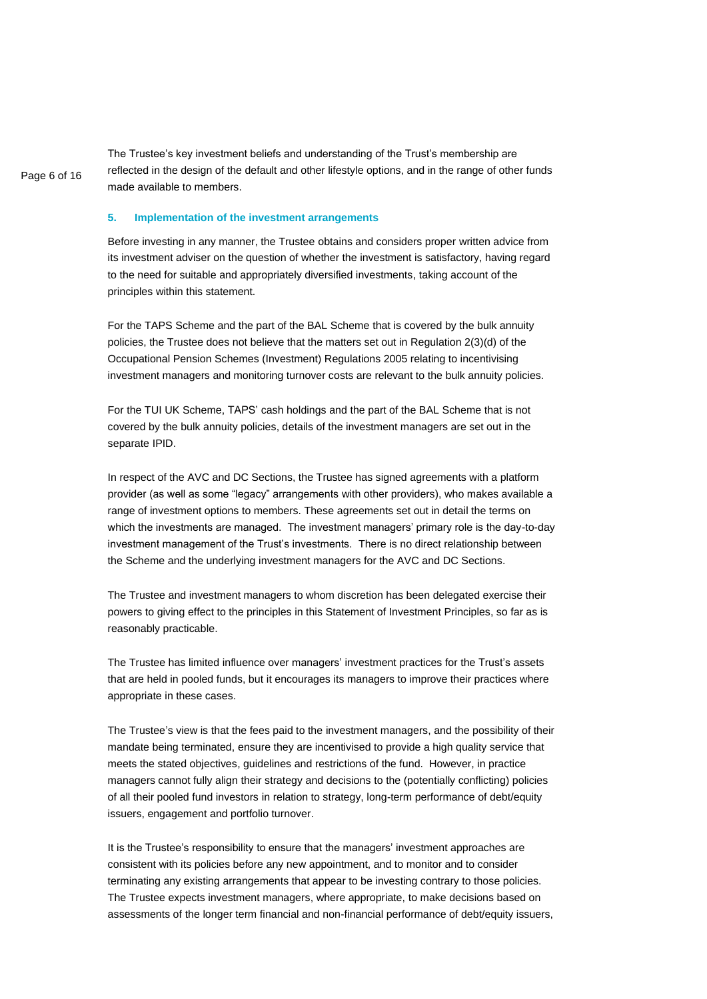The Trustee's key investment beliefs and understanding of the Trust's membership are reflected in the design of the default and other lifestyle options, and in the range of other funds made available to members.

#### **5. Implementation of the investment arrangements**

Page 6 of 16

Before investing in any manner, the Trustee obtains and considers proper written advice from its investment adviser on the question of whether the investment is satisfactory, having regard to the need for suitable and appropriately diversified investments, taking account of the principles within this statement.

For the TAPS Scheme and the part of the BAL Scheme that is covered by the bulk annuity policies, the Trustee does not believe that the matters set out in Regulation 2(3)(d) of the Occupational Pension Schemes (Investment) Regulations 2005 relating to incentivising investment managers and monitoring turnover costs are relevant to the bulk annuity policies.

For the TUI UK Scheme, TAPS' cash holdings and the part of the BAL Scheme that is not covered by the bulk annuity policies, details of the investment managers are set out in the separate IPID.

In respect of the AVC and DC Sections, the Trustee has signed agreements with a platform provider (as well as some "legacy" arrangements with other providers), who makes available a range of investment options to members. These agreements set out in detail the terms on which the investments are managed. The investment managers' primary role is the day-to-day investment management of the Trust's investments. There is no direct relationship between the Scheme and the underlying investment managers for the AVC and DC Sections.

The Trustee and investment managers to whom discretion has been delegated exercise their powers to giving effect to the principles in this Statement of Investment Principles, so far as is reasonably practicable.

The Trustee has limited influence over managers' investment practices for the Trust's assets that are held in pooled funds, but it encourages its managers to improve their practices where appropriate in these cases.

The Trustee's view is that the fees paid to the investment managers, and the possibility of their mandate being terminated, ensure they are incentivised to provide a high quality service that meets the stated objectives, guidelines and restrictions of the fund. However, in practice managers cannot fully align their strategy and decisions to the (potentially conflicting) policies of all their pooled fund investors in relation to strategy, long-term performance of debt/equity issuers, engagement and portfolio turnover.

It is the Trustee's responsibility to ensure that the managers' investment approaches are consistent with its policies before any new appointment, and to monitor and to consider terminating any existing arrangements that appear to be investing contrary to those policies. The Trustee expects investment managers, where appropriate, to make decisions based on assessments of the longer term financial and non-financial performance of debt/equity issuers,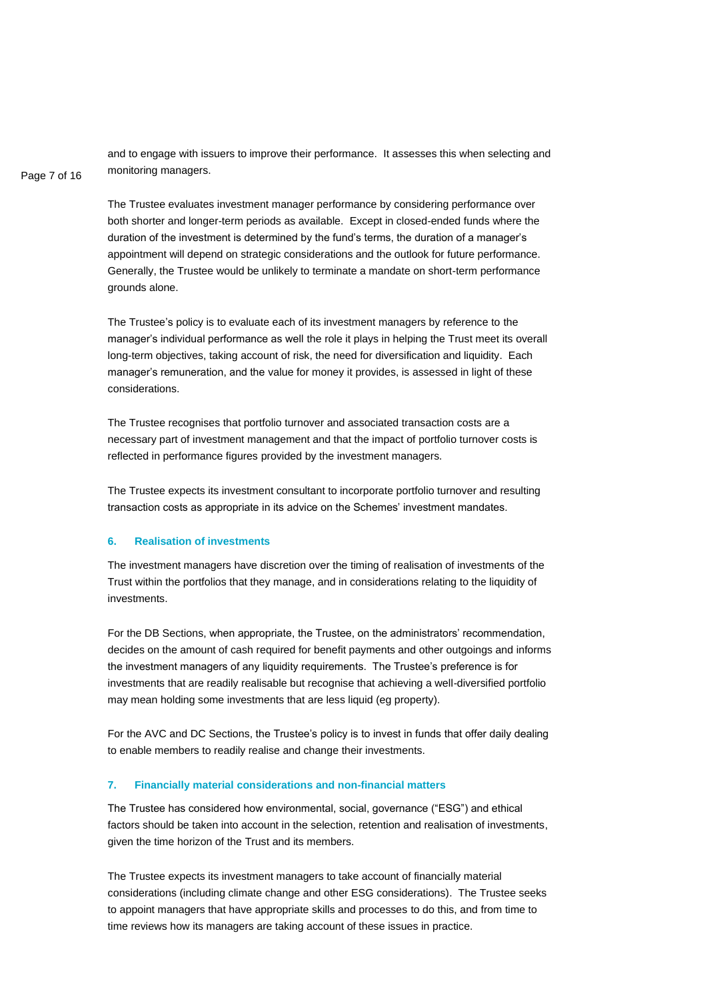and to engage with issuers to improve their performance. It assesses this when selecting and monitoring managers.

## Page 7 of 16

The Trustee evaluates investment manager performance by considering performance over both shorter and longer-term periods as available. Except in closed-ended funds where the duration of the investment is determined by the fund's terms, the duration of a manager's appointment will depend on strategic considerations and the outlook for future performance. Generally, the Trustee would be unlikely to terminate a mandate on short-term performance grounds alone.

The Trustee's policy is to evaluate each of its investment managers by reference to the manager's individual performance as well the role it plays in helping the Trust meet its overall long-term objectives, taking account of risk, the need for diversification and liquidity. Each manager's remuneration, and the value for money it provides, is assessed in light of these considerations.

The Trustee recognises that portfolio turnover and associated transaction costs are a necessary part of investment management and that the impact of portfolio turnover costs is reflected in performance figures provided by the investment managers.

The Trustee expects its investment consultant to incorporate portfolio turnover and resulting transaction costs as appropriate in its advice on the Schemes' investment mandates.

### **6. Realisation of investments**

The investment managers have discretion over the timing of realisation of investments of the Trust within the portfolios that they manage, and in considerations relating to the liquidity of investments.

For the DB Sections, when appropriate, the Trustee, on the administrators' recommendation, decides on the amount of cash required for benefit payments and other outgoings and informs the investment managers of any liquidity requirements. The Trustee's preference is for investments that are readily realisable but recognise that achieving a well-diversified portfolio may mean holding some investments that are less liquid (eg property).

For the AVC and DC Sections, the Trustee's policy is to invest in funds that offer daily dealing to enable members to readily realise and change their investments.

#### **7. Financially material considerations and non-financial matters**

The Trustee has considered how environmental, social, governance ("ESG") and ethical factors should be taken into account in the selection, retention and realisation of investments, given the time horizon of the Trust and its members.

The Trustee expects its investment managers to take account of financially material considerations (including climate change and other ESG considerations). The Trustee seeks to appoint managers that have appropriate skills and processes to do this, and from time to time reviews how its managers are taking account of these issues in practice.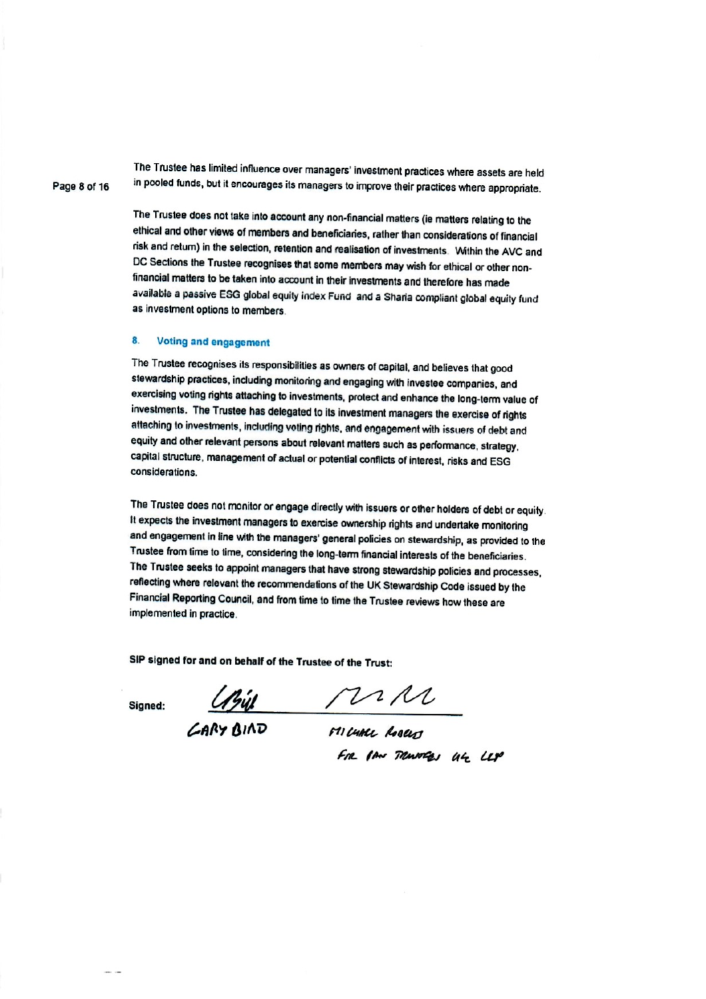The Trustee has limited influence over managers' investment practices where assets are held in pooled funds, but it encourages its managers to improve their practices where appropriate.

The Trustee does not take into account any non-financial matters (ie matters relating to the ethical and other views of members and beneficiaries, rather than considerations of financial risk and return) in the selection, retention and realisation of investments. Within the AVC and DC Sections the Trustee recognises that some members may wish for ethical or other nonfinancial matters to be taken into account in their investments and therefore has made available a passive ESG global equity index Fund and a Sharia compliant global equity fund as investment options to members.

#### 8. **Voting and engagement**

The Trustee recognises its responsibilities as owners of capital, and believes that good stewardship practices, including monitoring and engaging with investee companies, and exercising voting rights attaching to investments, protect and enhance the long-term value of investments. The Trustee has delegated to its investment managers the exercise of rights attaching to investments, including voting rights, and engagement with issuers of debt and equity and other relevant persons about relevant matters such as performance, strategy, capital structure, management of actual or potential conflicts of interest, risks and ESG considerations.

The Trustee does not monitor or engage directly with issuers or other holders of debt or equity. It expects the investment managers to exercise ownership rights and undertake monitoring and engagement in line with the managers' general policies on stewardship, as provided to the Trustee from time to time, considering the long-term financial interests of the beneficiaries. The Trustee seeks to appoint managers that have strong stewardship policies and processes, reflecting where relevant the recommendations of the UK Stewardship Code issued by the Financial Reporting Council, and from time to time the Trustee reviews how these are implemented in practice.

SIP signed for and on behalf of the Trustee of the Trust:

Signed:

 $\frac{N}{N}$ 

GARY BIAD

Fre IAN TRANSCRY UL LEP

Page 8 of 16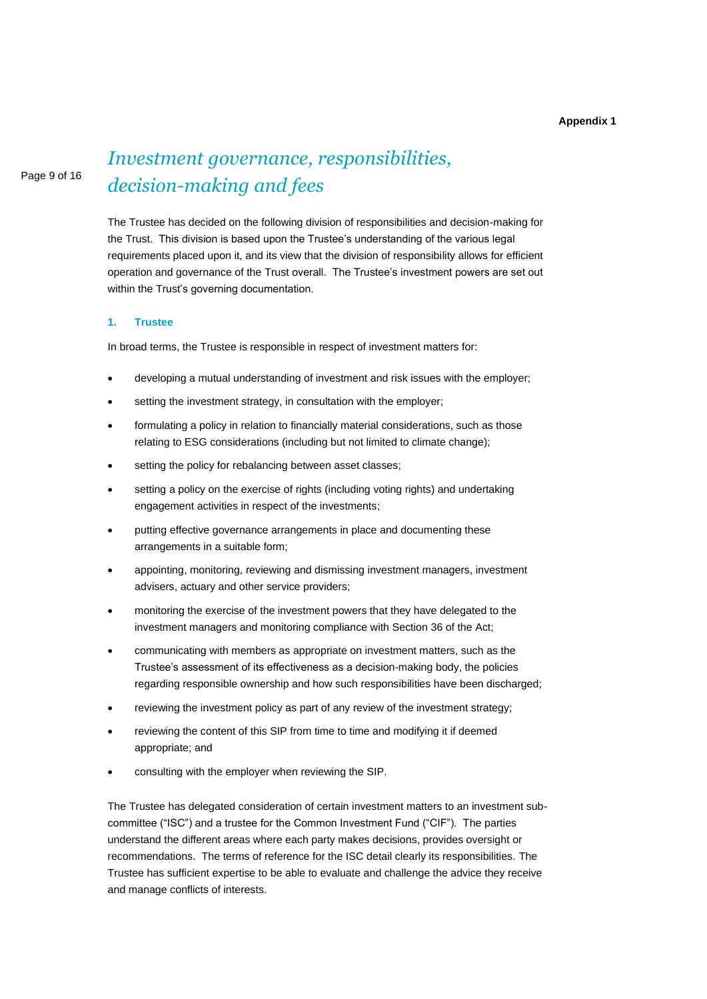#### **Appendix 1**

#### Page 9 of 16

# *Investment governance, responsibilities, decision-making and fees*

The Trustee has decided on the following division of responsibilities and decision-making for the Trust. This division is based upon the Trustee's understanding of the various legal requirements placed upon it, and its view that the division of responsibility allows for efficient operation and governance of the Trust overall. The Trustee's investment powers are set out within the Trust's governing documentation.

#### **1. Trustee**

In broad terms, the Trustee is responsible in respect of investment matters for:

- developing a mutual understanding of investment and risk issues with the employer;
- setting the investment strategy, in consultation with the employer;
- formulating a policy in relation to financially material considerations, such as those relating to ESG considerations (including but not limited to climate change);
- setting the policy for rebalancing between asset classes;
- setting a policy on the exercise of rights (including voting rights) and undertaking engagement activities in respect of the investments;
- putting effective governance arrangements in place and documenting these arrangements in a suitable form;
- appointing, monitoring, reviewing and dismissing investment managers, investment advisers, actuary and other service providers;
- monitoring the exercise of the investment powers that they have delegated to the investment managers and monitoring compliance with Section 36 of the Act;
- communicating with members as appropriate on investment matters, such as the Trustee's assessment of its effectiveness as a decision-making body, the policies regarding responsible ownership and how such responsibilities have been discharged;
- reviewing the investment policy as part of any review of the investment strategy;
- reviewing the content of this SIP from time to time and modifying it if deemed appropriate; and
- consulting with the employer when reviewing the SIP.

The Trustee has delegated consideration of certain investment matters to an investment subcommittee ("ISC") and a trustee for the Common Investment Fund ("CIF"). The parties understand the different areas where each party makes decisions, provides oversight or recommendations. The terms of reference for the ISC detail clearly its responsibilities. The Trustee has sufficient expertise to be able to evaluate and challenge the advice they receive and manage conflicts of interests.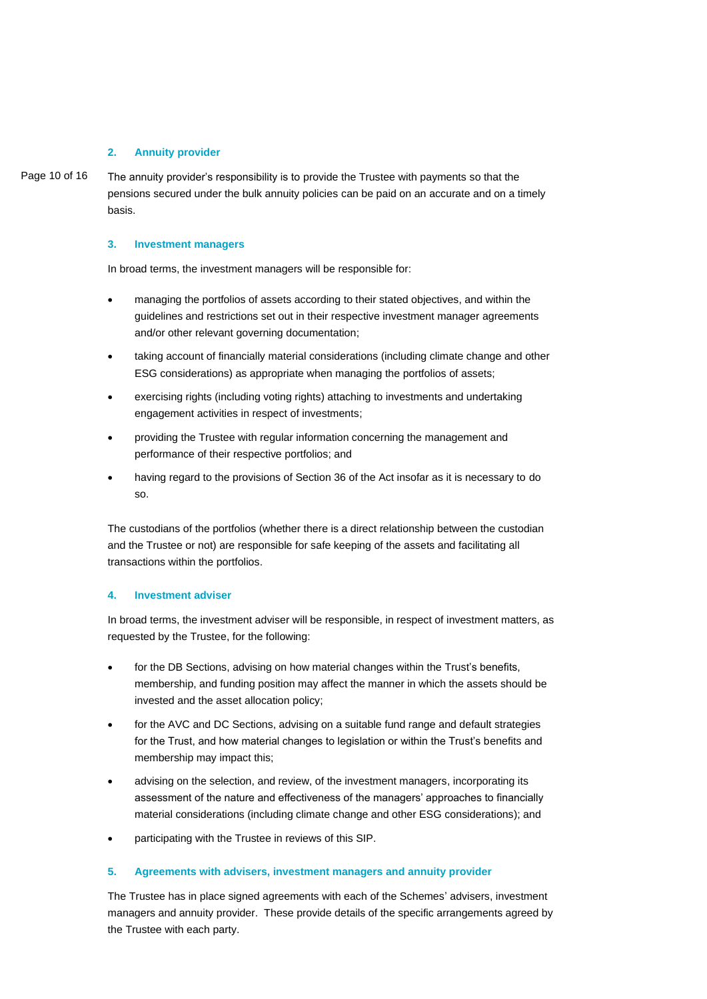#### **2. Annuity provider**

Page 10 of 16 The annuity provider's responsibility is to provide the Trustee with payments so that the pensions secured under the bulk annuity policies can be paid on an accurate and on a timely basis.

#### **3. Investment managers**

In broad terms, the investment managers will be responsible for:

- managing the portfolios of assets according to their stated objectives, and within the guidelines and restrictions set out in their respective investment manager agreements and/or other relevant governing documentation:
- taking account of financially material considerations (including climate change and other ESG considerations) as appropriate when managing the portfolios of assets;
- exercising rights (including voting rights) attaching to investments and undertaking engagement activities in respect of investments;
- providing the Trustee with regular information concerning the management and performance of their respective portfolios; and
- having regard to the provisions of Section 36 of the Act insofar as it is necessary to do so.

The custodians of the portfolios (whether there is a direct relationship between the custodian and the Trustee or not) are responsible for safe keeping of the assets and facilitating all transactions within the portfolios.

### **4. Investment adviser**

In broad terms, the investment adviser will be responsible, in respect of investment matters, as requested by the Trustee, for the following:

- for the DB Sections, advising on how material changes within the Trust's benefits, membership, and funding position may affect the manner in which the assets should be invested and the asset allocation policy;
- for the AVC and DC Sections, advising on a suitable fund range and default strategies for the Trust, and how material changes to legislation or within the Trust's benefits and membership may impact this;
- advising on the selection, and review, of the investment managers, incorporating its assessment of the nature and effectiveness of the managers' approaches to financially material considerations (including climate change and other ESG considerations); and
- participating with the Trustee in reviews of this SIP.

#### **5. Agreements with advisers, investment managers and annuity provider**

The Trustee has in place signed agreements with each of the Schemes' advisers, investment managers and annuity provider. These provide details of the specific arrangements agreed by the Trustee with each party.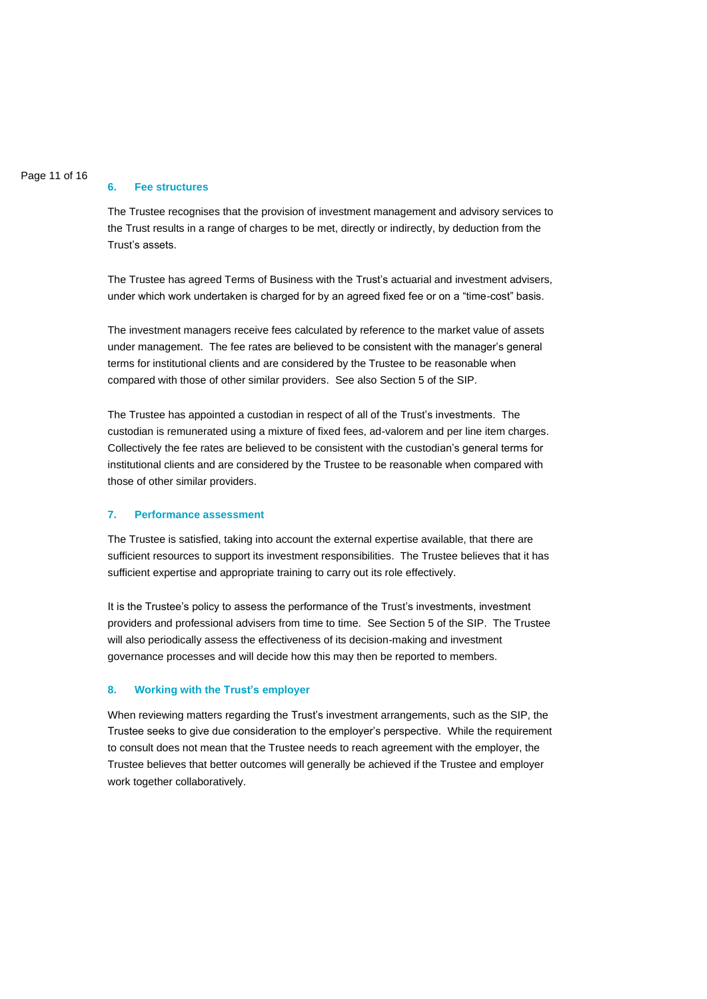#### Page 11 of 16

#### **6. Fee structures**

The Trustee recognises that the provision of investment management and advisory services to the Trust results in a range of charges to be met, directly or indirectly, by deduction from the Trust's assets.

The Trustee has agreed Terms of Business with the Trust's actuarial and investment advisers, under which work undertaken is charged for by an agreed fixed fee or on a "time-cost" basis.

The investment managers receive fees calculated by reference to the market value of assets under management. The fee rates are believed to be consistent with the manager's general terms for institutional clients and are considered by the Trustee to be reasonable when compared with those of other similar providers. See also Section 5 of the SIP.

The Trustee has appointed a custodian in respect of all of the Trust's investments. The custodian is remunerated using a mixture of fixed fees, ad-valorem and per line item charges. Collectively the fee rates are believed to be consistent with the custodian's general terms for institutional clients and are considered by the Trustee to be reasonable when compared with those of other similar providers.

#### **7. Performance assessment**

The Trustee is satisfied, taking into account the external expertise available, that there are sufficient resources to support its investment responsibilities. The Trustee believes that it has sufficient expertise and appropriate training to carry out its role effectively.

It is the Trustee's policy to assess the performance of the Trust's investments, investment providers and professional advisers from time to time. See Section 5 of the SIP. The Trustee will also periodically assess the effectiveness of its decision-making and investment governance processes and will decide how this may then be reported to members.

#### **8. Working with the Trust's employer**

When reviewing matters regarding the Trust's investment arrangements, such as the SIP, the Trustee seeks to give due consideration to the employer's perspective. While the requirement to consult does not mean that the Trustee needs to reach agreement with the employer, the Trustee believes that better outcomes will generally be achieved if the Trustee and employer work together collaboratively.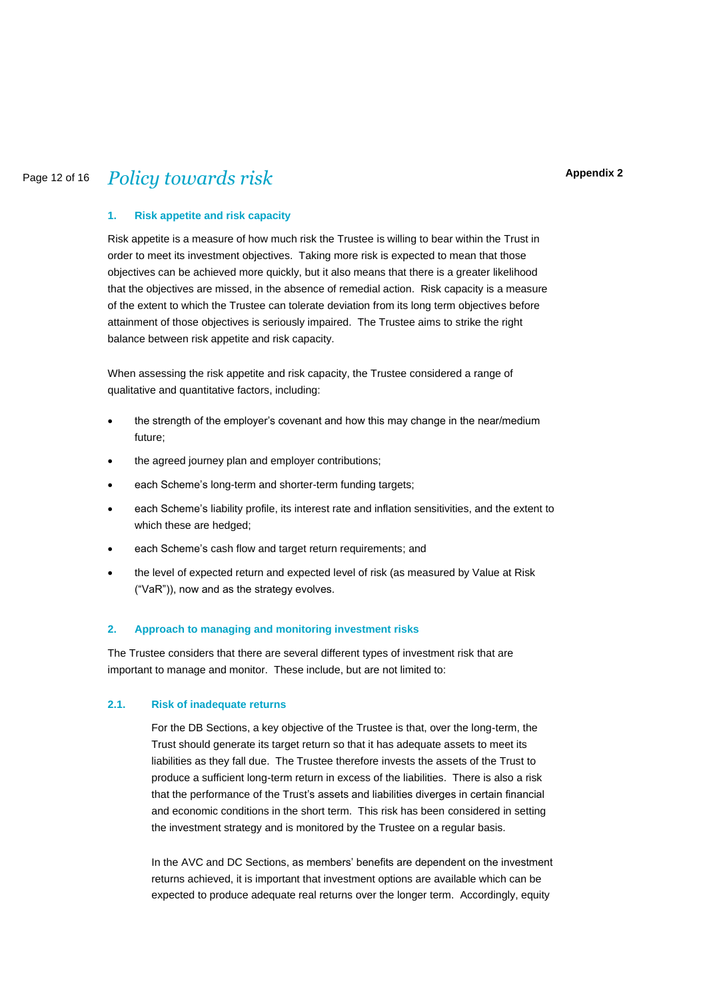#### **Appendix 2**

# Page 12 of 16 *Policy towards risk*

#### **1. Risk appetite and risk capacity**

Risk appetite is a measure of how much risk the Trustee is willing to bear within the Trust in order to meet its investment objectives. Taking more risk is expected to mean that those objectives can be achieved more quickly, but it also means that there is a greater likelihood that the objectives are missed, in the absence of remedial action. Risk capacity is a measure of the extent to which the Trustee can tolerate deviation from its long term objectives before attainment of those objectives is seriously impaired. The Trustee aims to strike the right balance between risk appetite and risk capacity.

When assessing the risk appetite and risk capacity, the Trustee considered a range of qualitative and quantitative factors, including:

- the strength of the employer's covenant and how this may change in the near/medium future;
- the agreed journey plan and employer contributions;
- each Scheme's long-term and shorter-term funding targets;
- each Scheme's liability profile, its interest rate and inflation sensitivities, and the extent to which these are hedged;
- each Scheme's cash flow and target return requirements; and
- the level of expected return and expected level of risk (as measured by Value at Risk ("VaR")), now and as the strategy evolves.

#### **2. Approach to managing and monitoring investment risks**

The Trustee considers that there are several different types of investment risk that are important to manage and monitor. These include, but are not limited to:

#### **2.1. Risk of inadequate returns**

For the DB Sections, a key objective of the Trustee is that, over the long-term, the Trust should generate its target return so that it has adequate assets to meet its liabilities as they fall due. The Trustee therefore invests the assets of the Trust to produce a sufficient long-term return in excess of the liabilities. There is also a risk that the performance of the Trust's assets and liabilities diverges in certain financial and economic conditions in the short term. This risk has been considered in setting the investment strategy and is monitored by the Trustee on a regular basis.

In the AVC and DC Sections, as members' benefits are dependent on the investment returns achieved, it is important that investment options are available which can be expected to produce adequate real returns over the longer term. Accordingly, equity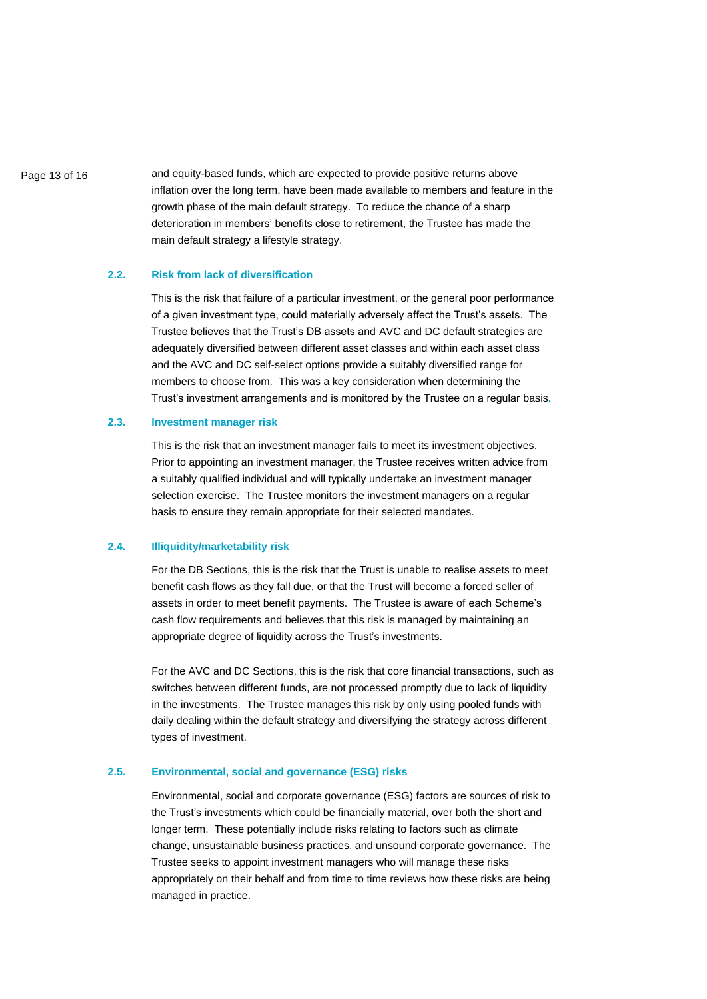Page 13 of 16 **and equity-based funds, which are expected to provide positive returns above** inflation over the long term, have been made available to members and feature in the growth phase of the main default strategy. To reduce the chance of a sharp deterioration in members' benefits close to retirement, the Trustee has made the main default strategy a lifestyle strategy.

#### **2.2. Risk from lack of diversification**

This is the risk that failure of a particular investment, or the general poor performance of a given investment type, could materially adversely affect the Trust's assets. The Trustee believes that the Trust's DB assets and AVC and DC default strategies are adequately diversified between different asset classes and within each asset class and the AVC and DC self-select options provide a suitably diversified range for members to choose from. This was a key consideration when determining the Trust's investment arrangements and is monitored by the Trustee on a regular basis**.**

# **2.3. Investment manager risk**

This is the risk that an investment manager fails to meet its investment objectives. Prior to appointing an investment manager, the Trustee receives written advice from a suitably qualified individual and will typically undertake an investment manager selection exercise. The Trustee monitors the investment managers on a regular basis to ensure they remain appropriate for their selected mandates.

#### **2.4. Illiquidity/marketability risk**

For the DB Sections, this is the risk that the Trust is unable to realise assets to meet benefit cash flows as they fall due, or that the Trust will become a forced seller of assets in order to meet benefit payments. The Trustee is aware of each Scheme's cash flow requirements and believes that this risk is managed by maintaining an appropriate degree of liquidity across the Trust's investments.

For the AVC and DC Sections, this is the risk that core financial transactions, such as switches between different funds, are not processed promptly due to lack of liquidity in the investments. The Trustee manages this risk by only using pooled funds with daily dealing within the default strategy and diversifying the strategy across different types of investment.

#### **2.5. Environmental, social and governance (ESG) risks**

Environmental, social and corporate governance (ESG) factors are sources of risk to the Trust's investments which could be financially material, over both the short and longer term. These potentially include risks relating to factors such as climate change, unsustainable business practices, and unsound corporate governance. The Trustee seeks to appoint investment managers who will manage these risks appropriately on their behalf and from time to time reviews how these risks are being managed in practice.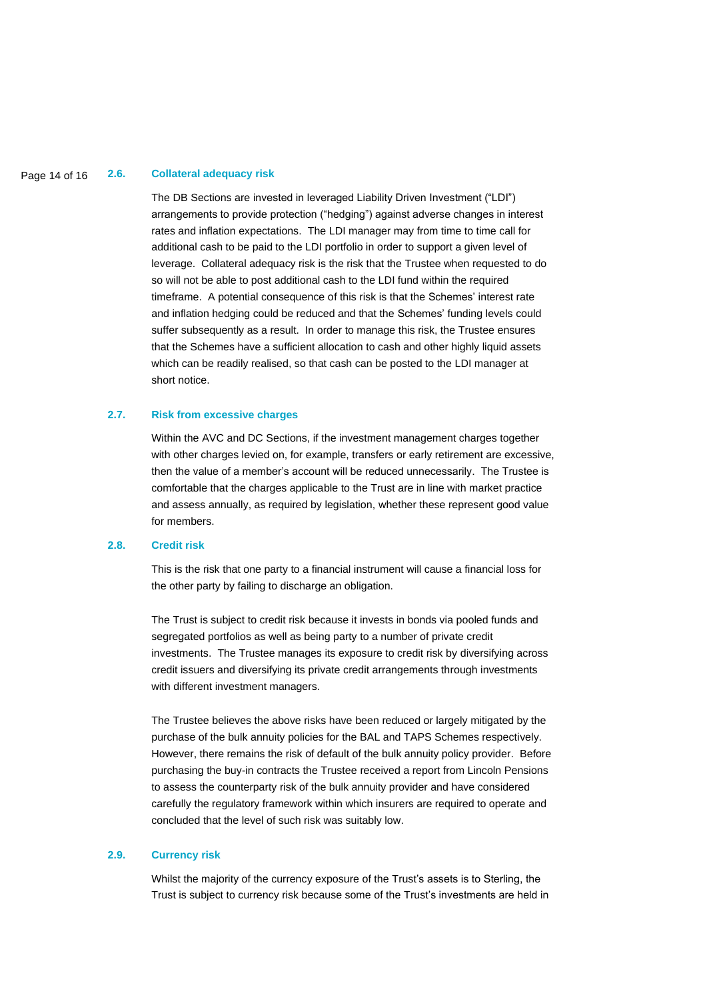## Page 14 of 16 **2.6. Collateral adequacy risk**

The DB Sections are invested in leveraged Liability Driven Investment ("LDI") arrangements to provide protection ("hedging") against adverse changes in interest rates and inflation expectations. The LDI manager may from time to time call for additional cash to be paid to the LDI portfolio in order to support a given level of leverage. Collateral adequacy risk is the risk that the Trustee when requested to do so will not be able to post additional cash to the LDI fund within the required timeframe. A potential consequence of this risk is that the Schemes' interest rate and inflation hedging could be reduced and that the Schemes' funding levels could suffer subsequently as a result. In order to manage this risk, the Trustee ensures that the Schemes have a sufficient allocation to cash and other highly liquid assets which can be readily realised, so that cash can be posted to the LDI manager at short notice.

#### **2.7. Risk from excessive charges**

Within the AVC and DC Sections, if the investment management charges together with other charges levied on, for example, transfers or early retirement are excessive, then the value of a member's account will be reduced unnecessarily. The Trustee is comfortable that the charges applicable to the Trust are in line with market practice and assess annually, as required by legislation, whether these represent good value for members.

#### **2.8. Credit risk**

This is the risk that one party to a financial instrument will cause a financial loss for the other party by failing to discharge an obligation.

The Trust is subject to credit risk because it invests in bonds via pooled funds and segregated portfolios as well as being party to a number of private credit investments. The Trustee manages its exposure to credit risk by diversifying across credit issuers and diversifying its private credit arrangements through investments with different investment managers.

The Trustee believes the above risks have been reduced or largely mitigated by the purchase of the bulk annuity policies for the BAL and TAPS Schemes respectively. However, there remains the risk of default of the bulk annuity policy provider. Before purchasing the buy-in contracts the Trustee received a report from Lincoln Pensions to assess the counterparty risk of the bulk annuity provider and have considered carefully the regulatory framework within which insurers are required to operate and concluded that the level of such risk was suitably low.

#### **2.9. Currency risk**

Whilst the majority of the currency exposure of the Trust's assets is to Sterling, the Trust is subject to currency risk because some of the Trust's investments are held in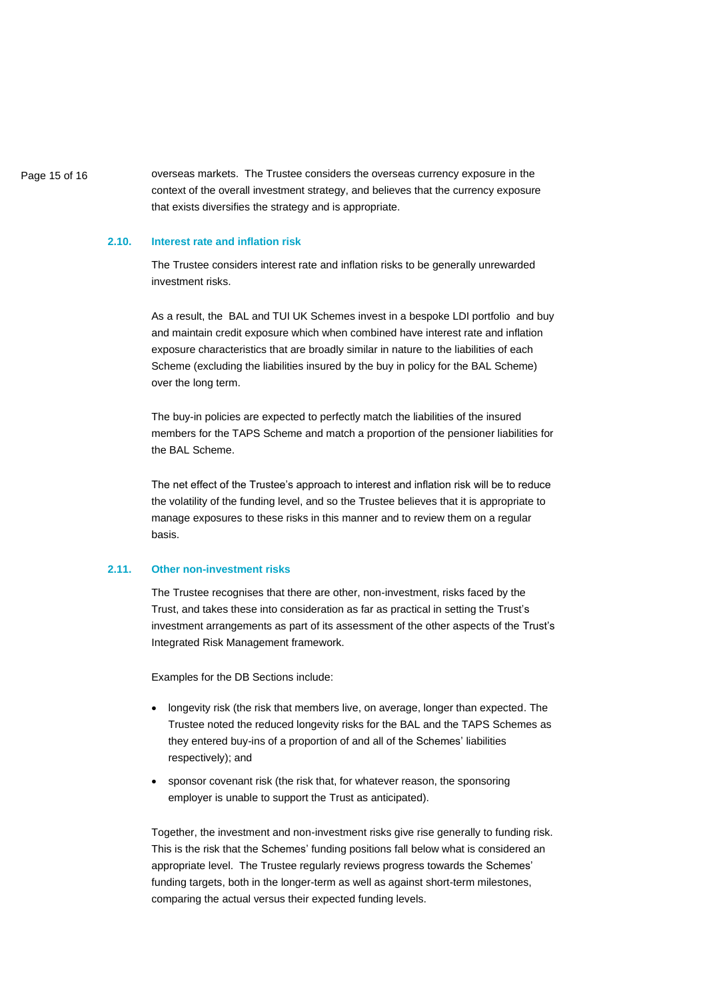Page 15 of 16 overseas markets. The Trustee considers the overseas currency exposure in the context of the overall investment strategy, and believes that the currency exposure that exists diversifies the strategy and is appropriate.

#### **2.10. Interest rate and inflation risk**

The Trustee considers interest rate and inflation risks to be generally unrewarded investment risks.

As a result, the BAL and TUI UK Schemes invest in a bespoke LDI portfolio and buy and maintain credit exposure which when combined have interest rate and inflation exposure characteristics that are broadly similar in nature to the liabilities of each Scheme (excluding the liabilities insured by the buy in policy for the BAL Scheme) over the long term.

The buy-in policies are expected to perfectly match the liabilities of the insured members for the TAPS Scheme and match a proportion of the pensioner liabilities for the BAL Scheme.

The net effect of the Trustee's approach to interest and inflation risk will be to reduce the volatility of the funding level, and so the Trustee believes that it is appropriate to manage exposures to these risks in this manner and to review them on a regular basis.

#### **2.11. Other non-investment risks**

The Trustee recognises that there are other, non-investment, risks faced by the Trust, and takes these into consideration as far as practical in setting the Trust's investment arrangements as part of its assessment of the other aspects of the Trust's Integrated Risk Management framework.

Examples for the DB Sections include:

- longevity risk (the risk that members live, on average, longer than expected. The Trustee noted the reduced longevity risks for the BAL and the TAPS Schemes as they entered buy-ins of a proportion of and all of the Schemes' liabilities respectively); and
- sponsor covenant risk (the risk that, for whatever reason, the sponsoring employer is unable to support the Trust as anticipated).

Together, the investment and non-investment risks give rise generally to funding risk. This is the risk that the Schemes' funding positions fall below what is considered an appropriate level. The Trustee regularly reviews progress towards the Schemes' funding targets, both in the longer-term as well as against short-term milestones, comparing the actual versus their expected funding levels.